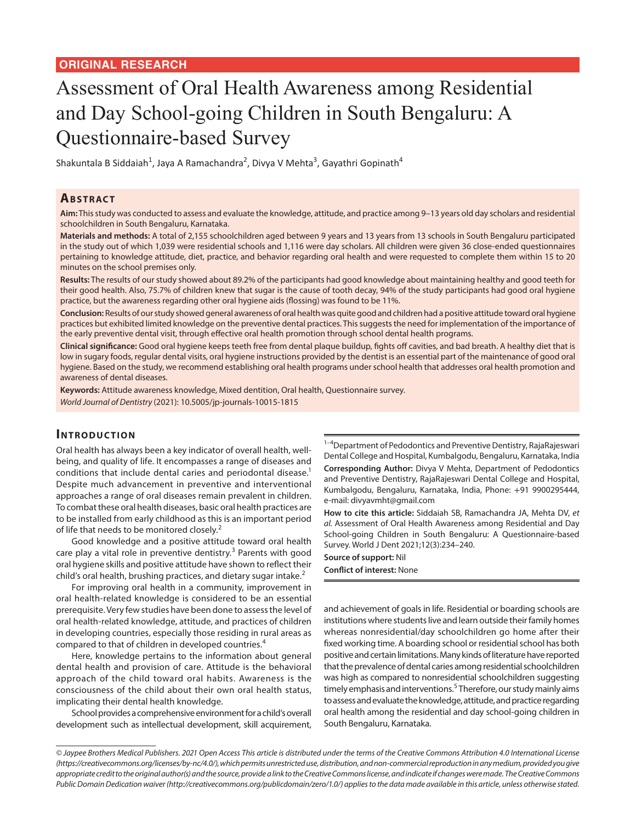# Assessment of Oral Health Awareness among Residential and Day School-going Children in South Bengaluru: A Questionnaire-based Survey

Shakuntala B Siddaiah<sup>1</sup>, Jaya A Ramachandra<sup>2</sup>, Divya V Mehta<sup>3</sup>, Gayathri Gopinath<sup>4</sup>

## **ABSTRACT**

**Aim:** This study was conducted to assess and evaluate the knowledge, attitude, and practice among 9–13 years old day scholars and residential schoolchildren in South Bengaluru, Karnataka.

**Materials and methods:** A total of 2,155 schoolchildren aged between 9 years and 13 years from 13 schools in South Bengaluru participated in the study out of which 1,039 were residential schools and 1,116 were day scholars. All children were given 36 close-ended questionnaires pertaining to knowledge attitude, diet, practice, and behavior regarding oral health and were requested to complete them within 15 to 20 minutes on the school premises only.

**Results:** The results of our study showed about 89.2% of the participants had good knowledge about maintaining healthy and good teeth for their good health. Also, 75.7% of children knew that sugar is the cause of tooth decay, 94% of the study participants had good oral hygiene practice, but the awareness regarding other oral hygiene aids (flossing) was found to be 11%.

**Conclusion:** Results of our study showed general awareness of oral health was quite good and children had a positive attitude toward oral hygiene practices but exhibited limited knowledge on the preventive dental practices. This suggests the need for implementation of the importance of the early preventive dental visit, through effective oral health promotion through school dental health programs.

**Clinical significance:** Good oral hygiene keeps teeth free from dental plaque buildup, fights off cavities, and bad breath. A healthy diet that is low in sugary foods, regular dental visits, oral hygiene instructions provided by the dentist is an essential part of the maintenance of good oral hygiene. Based on the study, we recommend establishing oral health programs under school health that addresses oral health promotion and awareness of dental diseases.

**Keywords:** Attitude awareness knowledge, Mixed dentition, Oral health, Questionnaire survey. *World Journal of Dentistry* (2021): 10.5005/jp-journals-10015-1815

# **INTRODUCTION**

Oral health has always been a key indicator of overall health, wellbeing, and quality of life. It encompasses a range of diseases and conditions that include dental caries and periodontal disease.<sup>1</sup> Despite much advancement in preventive and interventional approaches a range of oral diseases remain prevalent in children. To combat these oral health diseases, basic oral health practices are to be installed from early childhood as this is an important period of life that needs to be monitored closely.<sup>2</sup>

Good knowledge and a positive attitude toward oral health care play a vital role in preventive dentistry.<sup>3</sup> Parents with good oral hygiene skills and positive attitude have shown to reflect their child's oral health, brushing practices, and dietary sugar intake.<sup>2</sup>

For improving oral health in a community, improvement in oral health-related knowledge is considered to be an essential prerequisite. Very few studies have been done to assess the level of oral health-related knowledge, attitude, and practices of children in developing countries, especially those residing in rural areas as compared to that of children in developed countries.<sup>4</sup>

Here, knowledge pertains to the information about general dental health and provision of care. Attitude is the behavioral approach of the child toward oral habits. Awareness is the consciousness of the child about their own oral health status, implicating their dental health knowledge.

School provides a comprehensive environment for a child's overall development such as intellectual development, skill acquirement,  $1-4$ Department of Pedodontics and Preventive Dentistry, RajaRajeswari Dental College and Hospital, Kumbalgodu, Bengaluru, Karnataka, India **Corresponding Author:** Divya V Mehta, Department of Pedodontics and Preventive Dentistry, RajaRajeswari Dental College and Hospital, Kumbalgodu, Bengaluru, Karnataka, India, Phone: +91 9900295444, e-mail: divyavmht@gmail.com

**How to cite this article:** Siddaiah SB, Ramachandra JA, Mehta DV, *et al.* Assessment of Oral Health Awareness among Residential and Day School-going Children in South Bengaluru: A Questionnaire-based Survey. World J Dent 2021;12(3):234–240.

#### **Source of support:** Nil **Conflict of interest:** None

and achievement of goals in life. Residential or boarding schools are institutions where students live and learn outside their family homes whereas nonresidential/day schoolchildren go home after their fixed working time. A boarding school or residential school has both positive and certain limitations. Many kinds of literature have reported that the prevalence of dental caries among residential schoolchildren was high as compared to nonresidential schoolchildren suggesting timely emphasis and interventions.<sup>5</sup> Therefore, our study mainly aims to assess and evaluate the knowledge, attitude, and practice regarding oral health among the residential and day school-going children in South Bengaluru, Karnataka.

*<sup>©</sup> Jaypee Brothers Medical Publishers. 2021 Open Access This article is distributed under the terms of the Creative Commons Attribution 4.0 International License (https://creativecommons.org/licenses/by-nc/4.0/), which permits unrestricted use, distribution, and non-commercial reproduction in any medium, provided you give appropriate credit to the original author(s) and the source, provide a link to the Creative Commons license, and indicate if changes were made. The Creative Commons Public Domain Dedication waiver (http://creativecommons.org/publicdomain/zero/1.0/) applies to the data made available in this article, unless otherwise stated.*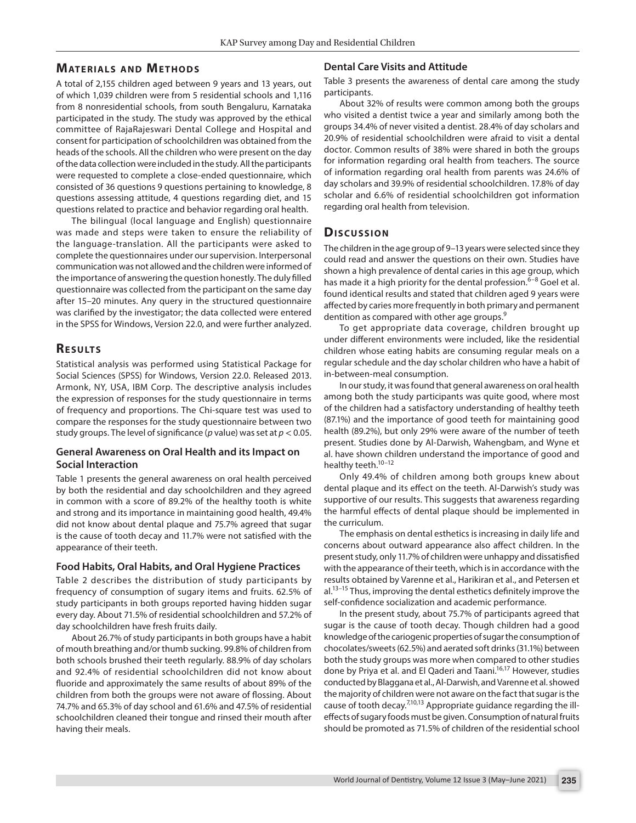# **MATERIALS AND METHODS**

A total of 2,155 children aged between 9 years and 13 years, out of which 1,039 children were from 5 residential schools and 1,116 from 8 nonresidential schools, from south Bengaluru, Karnataka participated in the study. The study was approved by the ethical committee of RajaRajeswari Dental College and Hospital and consent for participation of schoolchildren was obtained from the heads of the schools. All the children who were present on the day of the data collection were included in the study. All the participants were requested to complete a close-ended questionnaire, which consisted of 36 questions 9 questions pertaining to knowledge, 8 questions assessing attitude, 4 questions regarding diet, and 15 questions related to practice and behavior regarding oral health.

The bilingual (local language and English) questionnaire was made and steps were taken to ensure the reliability of the language-translation. All the participants were asked to complete the questionnaires under our supervision. Interpersonal communication was not allowed and the children were informed of the importance of answering the question honestly. The duly filled questionnaire was collected from the participant on the same day after 15–20 minutes. Any query in the structured questionnaire was clarified by the investigator; the data collected were entered in the SPSS for Windows, Version 22.0, and were further analyzed.

## **RESULTS**

Statistical analysis was performed using Statistical Package for Social Sciences (SPSS) for Windows, Version 22.0. Released 2013. Armonk, NY, USA, IBM Corp. The descriptive analysis includes the expression of responses for the study questionnaire in terms of frequency and proportions. The Chi-square test was used to compare the responses for the study questionnaire between two study groups. The level of significance (*p* value) was set at *p* < 0.05.

### **General Awareness on Oral Health and its Impact on Social Interaction**

Table 1 presents the general awareness on oral health perceived by both the residential and day schoolchildren and they agreed in common with a score of 89.2% of the healthy tooth is white and strong and its importance in maintaining good health, 49.4% did not know about dental plaque and 75.7% agreed that sugar is the cause of tooth decay and 11.7% were not satisfied with the appearance of their teeth.

#### **Food Habits, Oral Habits, and Oral Hygiene Practices**

Table 2 describes the distribution of study participants by frequency of consumption of sugary items and fruits. 62.5% of study participants in both groups reported having hidden sugar every day. About 71.5% of residential schoolchildren and 57.2% of day schoolchildren have fresh fruits daily.

About 26.7% of study participants in both groups have a habit of mouth breathing and/or thumb sucking. 99.8% of children from both schools brushed their teeth regularly. 88.9% of day scholars and 92.4% of residential schoolchildren did not know about fluoride and approximately the same results of about 89% of the children from both the groups were not aware of flossing. About 74.7% and 65.3% of day school and 61.6% and 47.5% of residential schoolchildren cleaned their tongue and rinsed their mouth after having their meals.

## **Dental Care Visits and Attitude**

Table 3 presents the awareness of dental care among the study participants.

About 32% of results were common among both the groups who visited a dentist twice a year and similarly among both the groups 34.4% of never visited a dentist. 28.4% of day scholars and 20.9% of residential schoolchildren were afraid to visit a dental doctor. Common results of 38% were shared in both the groups for information regarding oral health from teachers. The source of information regarding oral health from parents was 24.6% of day scholars and 39.9% of residential schoolchildren. 17.8% of day scholar and 6.6% of residential schoolchildren got information regarding oral health from television.

## **Dis c u s sio n**

The children in the age group of 9–13 years were selected since they could read and answer the questions on their own. Studies have shown a high prevalence of dental caries in this age group, which has made it a high priority for the dental profession.<sup>6–8</sup> Goel et al. found identical results and stated that children aged 9 years were affected by caries more frequently in both primary and permanent dentition as compared with other age groups.<sup>9</sup>

To get appropriate data coverage, children brought up under different environments were included, like the residential children whose eating habits are consuming regular meals on a regular schedule and the day scholar children who have a habit of in-between-meal consumption.

In our study, it was found that general awareness on oral health among both the study participants was quite good, where most of the children had a satisfactory understanding of healthy teeth (87.1%) and the importance of good teeth for maintaining good health (89.2%), but only 29% were aware of the number of teeth present. Studies done by Al-Darwish, Wahengbam, and Wyne et al. have shown children understand the importance of good and healthy teeth.<sup>10-12</sup>

Only 49.4% of children among both groups knew about dental plaque and its effect on the teeth. Al-Darwish's study was supportive of our results. This suggests that awareness regarding the harmful effects of dental plaque should be implemented in the curriculum.

The emphasis on dental esthetics is increasing in daily life and concerns about outward appearance also affect children. In the present study, only 11.7% of children were unhappy and dissatisfied with the appearance of their teeth, which is in accordance with the results obtained by Varenne et al., Harikiran et al., and Petersen et al.<sup>13-15</sup> Thus, improving the dental esthetics definitely improve the self-confidence socialization and academic performance.

In the present study, about 75.7% of participants agreed that sugar is the cause of tooth decay. Though children had a good knowledge of the cariogenic properties of sugar the consumption of chocolates/sweets (62.5%) and aerated soft drinks (31.1%) between both the study groups was more when compared to other studies done by Priya et al. and El Qaderi and Taani.<sup>16,17</sup> However, studies conducted by Blaggana et al., Al-Darwish, and Varenne et al. showed the majority of children were not aware on the fact that sugar is the cause of tooth decay. $7^{7,10,13}$  Appropriate guidance regarding the illeffects of sugary foods must be given. Consumption of natural fruits should be promoted as 71.5% of children of the residential school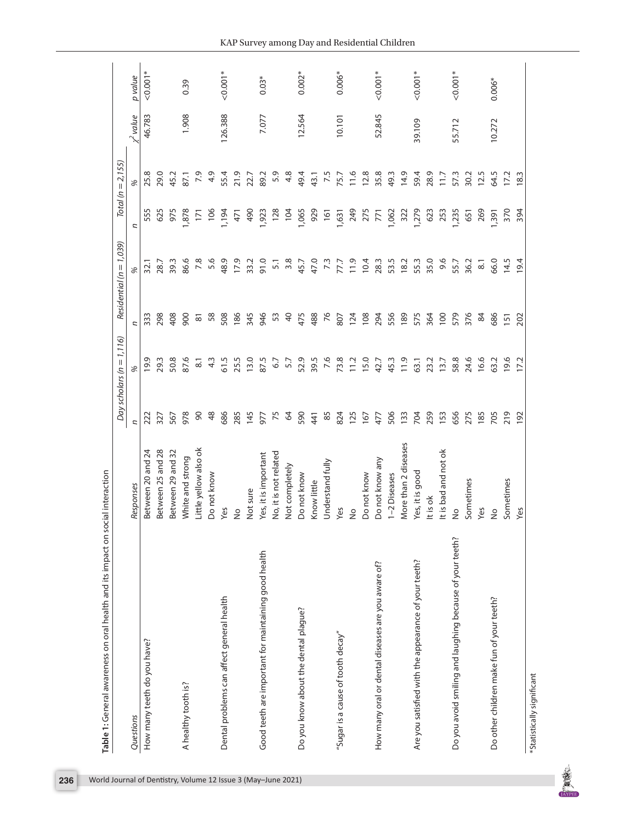|                                                          |                       |               | Day scholars ( $n = 1, 116$ ) |                     | Residential ( $n = 1,039$ ) |       | $Total (n = 2, 155)$ |                |            |
|----------------------------------------------------------|-----------------------|---------------|-------------------------------|---------------------|-----------------------------|-------|----------------------|----------------|------------|
| Questions                                                | Responses             | n             | %                             | U                   | %                           | n     | %                    | $\chi^2$ value | p value    |
| How many teeth do you have?                              | Between 20 and 24     | 222           | 19.9                          | 333                 | 32.1                        | 555   | 25.8                 | 46.783         | $0.001*$   |
|                                                          | Between 25 and 28     | 327           | 29.3                          | 298                 | 28.7                        | 625   | 29.0                 |                |            |
|                                                          | Between 29 and 32     | 567           | 50.8                          | 408                 | 39.3                        | 975   | 45.2                 |                |            |
| A healthy tooth is?                                      | White and strong      | 978           | 87.6                          | 900                 | 86.6                        | 878   | 87.1                 | 1.908          | 0.39       |
|                                                          | Little yellow also ok | 90            | $\overline{8}$ .              | $\overline{\infty}$ | 7.8                         | 171   | 7.9                  |                |            |
|                                                          | Do not know           | $\frac{8}{3}$ | 4.3                           | 58                  | 5.6                         | 106   | 4.9                  |                |            |
| Dental problems can affect general health                | Yes                   | 686           | 61.5                          | 508                 | 48.9                        | 1,194 | 55.4                 | 126.388        | $< 0.001*$ |
|                                                          | å                     | 285           | 25.5                          | 186                 | 17.9                        | 471   | 21.9                 |                |            |
|                                                          | Not sure              | 145           | 13.0                          | 345                 | 33.2                        | 490   | 22.7                 |                |            |
| Good teeth are important for maintaining good health     | Yes, it is important  | 577           | 87.5                          | 946                 | 91.0                        | 1,923 | 89.2                 | 7.077          | $0.03*$    |
|                                                          | No, it is not related | 75            | 6.7                           | 53                  | 5.1                         | 128   | 5.9                  |                |            |
|                                                          | Not completely        | 3             | 57                            | $\overline{a}$      | 3.8                         | 104   | 4.8                  |                |            |
| Do you know about the dental plague?                     | Do not know           | 590           | 52.9                          | 475                 | 45.7                        | 1,065 | 49.4                 | 12.564         | $0.002*$   |
|                                                          | Know little           | 441           | 39.5                          | 488                 | 47.0                        | 929   | 43.1                 |                |            |
|                                                          | Understand fully      | 85            | 7.6                           | 76                  | 73                          | 161   | 7.5                  |                |            |
| "Sugar is a cause of tooth decay"                        | Yes                   | 824           | 73.8                          | 807                 | 77.7                        | 1,631 | 75.7                 | 10.101         | $0.006*$   |
|                                                          | $\frac{1}{2}$         | 125           | 11.2                          | 124                 | 11.9                        | 249   | 11.6                 |                |            |
|                                                          | Do not know           | 167           | 15.0                          | 108                 | 10.4                        | 275   | 12.8                 |                |            |
| How many oral or dental diseases are you aware of?       | Do not know any       | 477           | 42.7                          | 294                 | 28.3                        | 771   | 35.8                 | 52.845         | $< 0.001*$ |
|                                                          | 1-2 Diseases          | 506           | 45.3                          | 556                 | 53.5                        | 1,062 | 49.3                 |                |            |
|                                                          | More than 2 diseases  | 133           | 11.9                          | 189                 | 18.2                        | 322   | 14.9                 |                |            |
| Are you satisfied with the appearance of your teeth?     | Yes, it is good       | 704           | 63.1                          | 575                 | 55.3                        | 1,279 | 59.4                 | 39.109         | $0.001*$   |
|                                                          | It is ok              | 259           | 23.2                          | 364                 | 35.0                        | 623   | 28.9                 |                |            |
|                                                          | It is bad and not ok  | 153           | 13.7                          | 100                 | 9.6                         | 253   | 717                  |                |            |
| Do you avoid smiling and laughing because of your teeth? | $\frac{1}{2}$         | 656           | 58.8                          | 579                 | 55.7                        | 1,235 | 57.3                 | 55.712         | $< 0.001*$ |
|                                                          | Sometimes             | 275           | 24.6                          | 376                 | 36.2                        | 651   | 30.2                 |                |            |
|                                                          | Yes                   | 185           | 16.6                          | 84                  | $\overline{\circ}$          | 269   | 12.5                 |                |            |
| Do other children make fun of your teeth?                | $\frac{1}{2}$         | 705           | 63.2                          | 686                 | 66.0                        | 391   | 64.5                 | 10.272         | $0.006*$   |
|                                                          | Sometimes             | 219           | 19.6                          | 151                 | 14.5                        | 370   | 17.2                 |                |            |
|                                                          | Yes                   | 192           | 17.2                          | 202                 | 19.4                        |       |                      |                |            |



**ARCHITECT**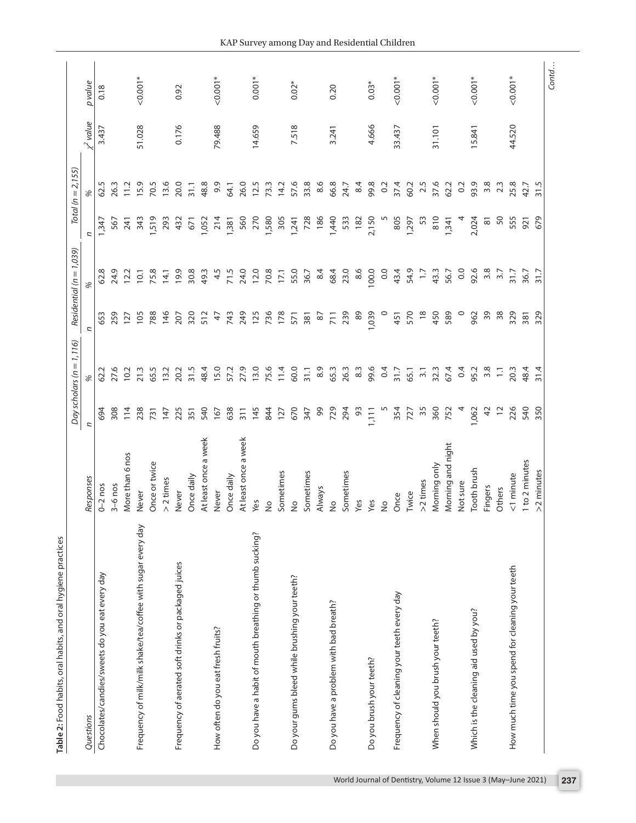|                                                              |                      |                | Day scholars ( $n = 1, 116$ ) |               | Residential ( $n = 1,039$ ) |                     | $Total (n = 2, 155)$ |                     |            |
|--------------------------------------------------------------|----------------------|----------------|-------------------------------|---------------|-----------------------------|---------------------|----------------------|---------------------|------------|
| Questions                                                    | Responses            | L,             |                               | U             | %                           | n                   | %                    | $\frac{y}{y}$ value | p value    |
| Chocolates/candies/sweets do you eat every day               | $0 - 2$ nos          | 694            | 62.2                          | 653           | 62.8                        | 1,347               | 62.5                 | 3.437               | 0.18       |
|                                                              | $3-6$ nos            | 308            | 27.6                          | 259           | 24.9                        | 567                 | 26.3                 |                     |            |
|                                                              | More than 6 nos      | 114            | 10.2                          | 127           | 12.2                        | 241                 | 11.2                 |                     |            |
| Frequency of milk/milk shake/tea/coffee with sugar every day | Never                | 238            | 21.3                          | 105           | 10.1                        | 343                 | 15.9                 | 51.028              | $0.001*$   |
|                                                              | Once or twice        | 731            | 65.5                          | 788           | 75.8                        | 519                 | 70.5                 |                     |            |
|                                                              | $> 2$ times          | 147            | 13.2                          | 146           | 14.1                        | 293                 | 13.6                 |                     |            |
| Frequency of aerated soft drinks or packaged juices          | Never                | 225            | 20.2                          | 207           | 19.9                        | 432                 | 20.0                 | 0.176               | 0.92       |
|                                                              | Once daily           | 351            | 31.5                          | 320           | 30.8                        | 671                 | 31.1                 |                     |            |
|                                                              | At least once a week | 540            | 48.4                          | 512           | 49.3                        | 1,052               | 48.8                 |                     |            |
| How often do you eat fresh fruits?                           | Never                | 167            | 15.0                          | 47            | 4.5                         | 214                 | 9.9                  | 79.488              | $0.001*$   |
|                                                              | Once daily           | 638            | 57.2                          | 743           | 71.5                        | 1,381               | <b>64.1</b>          |                     |            |
|                                                              | At least once a week | 311            | 27.9                          | 249           | 24.0                        | 560                 | 26.0                 |                     |            |
| Do you have a habit of mouth breathing or thumb sucking?     | Yes                  | 145            | 13.0                          | 125           | 12.0                        | 270                 | 12.5                 | 14.659              | $0.001*$   |
|                                                              | $\frac{1}{2}$        | 844            | 75.6                          | 736           | 70.8                        | 1,580               | 73.3                 |                     |            |
|                                                              | Sometimes            | 127            | 11.4                          | 178           | 17.1                        | 305                 | 14.2                 |                     |            |
| Do your gums bleed while brushing your teeth?                | $\frac{1}{2}$        | 670            | 60.0                          | 571           | 55.0                        | 1,241               | 57.6                 | 7.518               | $0.02*$    |
|                                                              | Sometimes            | 347            | 31.1                          | 381           | 36.7                        | 728                 | 33.8                 |                     |            |
|                                                              | Always               | 99             | 8.9                           | 87            | 8.4                         | 186                 | 8.6                  |                     |            |
| Do you have a problem with bad breath?                       | $\frac{1}{2}$        | 729            | 65.3                          | 711           | 68.4                        | 1,440               | 66.8                 | 3.241               | 0.20       |
|                                                              | Sometimes            | 294            | 26.3                          | 239           | 23.0                        | 533                 | 24.7                 |                     |            |
|                                                              | Yes                  | 93             | 8.3                           | 89            | 8.6                         | 182                 | 8.4                  |                     |            |
| Do you brush your teeth?                                     | Yes                  | 111            | 99.6                          | 1,039         | 100.0                       | 2,150               | 99.8                 | 4.666               | $0.03*$    |
|                                                              | $\frac{1}{2}$        |                | 0.4                           | $\circ$       | 0.0                         |                     | 0.2                  |                     |            |
| Frequency of cleaning your teeth every day                   | Once                 | 354            | 31.7                          | 451           | 43.4                        | 805                 | 37.4                 | 33.437              | $0.001*$   |
|                                                              | Twice                | 727            | 65.1                          | 570           | 54.9                        | 1,297               | 60.2                 |                     |            |
|                                                              | >2 times             | 35             | $\overline{3}$                | $\frac{8}{2}$ | $\overline{1}$              | 53                  | 2.5                  |                     |            |
| When should you brush your teeth?                            | Morning only         | 360            | 32.3                          | 450           | 43.3                        | 810                 | 37.6                 | 31.101              | $< 0.001*$ |
|                                                              | Morning and night    | 752            | 67.4                          | 589           | 56.7                        | 1,341               | 62.2                 |                     |            |
|                                                              | Not sure             | 4              | 0.4                           | $\circ$       | 0.0                         |                     | 0.2                  |                     |            |
| Which is the cleaning aid used by you?                       | Tooth brush          | 1,062          | 95.2                          | 962           | 92.6                        | 2,024               | 93.9                 | 15.841              | $0.001*$   |
|                                                              | Fingers              | $\overline{4}$ | 3.8                           | 39            | 3.8                         | $\overline{\infty}$ | 3.8                  |                     |            |
|                                                              | Others               | $\overline{c}$ | $\Xi$                         | $38$          | $\frac{2}{3}$               | 50                  | 23                   |                     |            |
| How much time you spend for cleaning your teeth              | <1 minute            | 226            | 20.3                          | 329           | 31.7                        | 555                 | 25.8                 | 44.520              | $0.001*$   |
|                                                              | 1 to 2 minutes       | 540            | 48.4                          | 381           | 36.7                        | 921                 | 42.7                 |                     |            |
|                                                              | >2 minutes           | 350            | 31.4                          | 329           | 31.7                        | 679                 | 31.5                 |                     |            |
|                                                              |                      |                |                               |               |                             |                     |                      |                     | Contd      |

Table 2: Food habits, oral habits, and oral hygiene practices **Table 2:** Food habits, oral habits, and oral hygiene practices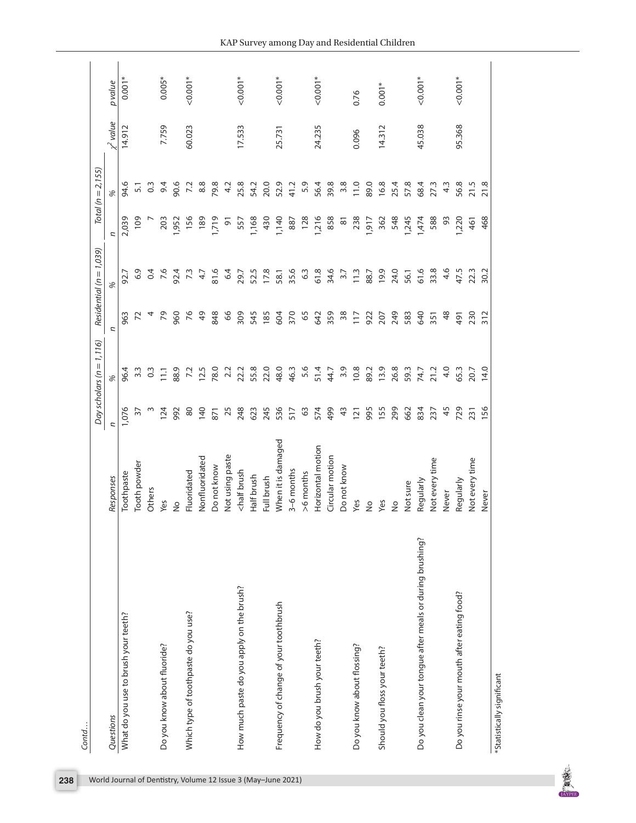|                                                          |                                                                                                                                                     |               | Day scholars ( $n = 1, 116$ ) |               | Residential ( $n = 1,039$ ) |                    | $Total (n = 2, 155)$ |                  |            |
|----------------------------------------------------------|-----------------------------------------------------------------------------------------------------------------------------------------------------|---------------|-------------------------------|---------------|-----------------------------|--------------------|----------------------|------------------|------------|
| Questions                                                | Responses                                                                                                                                           | ς             |                               | ς             | %                           | И                  | %                    | $\epsilon$ value | p value    |
| What do you use to brush your teeth?                     | Toothpaste                                                                                                                                          | 1,076         | 96.4                          | 963           | 92.7                        | 2,039              | 94.6                 | 14.912           | $0.001*$   |
|                                                          | Tooth powder                                                                                                                                        | 57            | $3.\overline{3}$              | 72            | 6.9                         | 109                | 5,1                  |                  |            |
|                                                          | Others                                                                                                                                              | S             | $\frac{3}{2}$                 | 4             | 0.4                         |                    | $\frac{3}{2}$        |                  |            |
| Do you know about fluoride?                              | Yes                                                                                                                                                 | 124           | Ξ                             | 79            | 7.6                         | 203                | 9.4                  | 7.759            | $0.005*$   |
|                                                          | $\frac{1}{2}$                                                                                                                                       | 992           | 88.9                          | 960           | 92.4                        | 1,952              | 90.6                 |                  |            |
| Which type of toothpaste do you use?                     | Fluoridated                                                                                                                                         | $80$          | 7.2                           | 76            | 73                          | 156                | 7.2                  | 60.023           | $0.001*$   |
|                                                          | Nonfluoridated                                                                                                                                      | 140           | 12.5                          | $\frac{6}{7}$ | 47                          | 189                | 8.8                  |                  |            |
|                                                          | Do not know                                                                                                                                         | 871           | 78.0                          | 848           | 81.6                        | 1,719              | 79.8                 |                  |            |
|                                                          | Not using paste                                                                                                                                     | 25            | 2.2                           | 66            | 6.4                         | $\overline{5}$     | 4.2                  |                  |            |
| How much paste do you apply on the brush?                | <half brush<="" td=""><td>248</td><td>22.2</td><td>309</td><td>29.7</td><td>557</td><td>25.8</td><td>17.533</td><td><math>0.001*</math></td></half> | 248           | 22.2                          | 309           | 29.7                        | 557                | 25.8                 | 17.533           | $0.001*$   |
|                                                          | Half brush                                                                                                                                          | 623           | 55.8                          | 545           | 52.5                        | 1,168              | 54.2                 |                  |            |
|                                                          | Full brush                                                                                                                                          | 245           | 22.0                          | 185           | 17.8                        | 430                | 20.0                 |                  |            |
| Frequency of change of your toothbrush                   | When it is damaged                                                                                                                                  | 536           | 48.0                          | 604           | 58.1                        | 1,140              | 52.9                 | 25.731           | $0.001*$   |
|                                                          | 3-6 months                                                                                                                                          | 517           | 46.3                          | 370           | 35.6                        | 887                | 41.2                 |                  |            |
|                                                          | >6 months                                                                                                                                           | 63            | 5.6                           | 65            | 63                          | 128                | 5.9                  |                  |            |
| How do you brush your teeth?                             | Horizontal motion                                                                                                                                   | 574           | 51.4                          | 642           | 61.8                        | 1,216              | 56.4                 | 24.235           | $0.001*$   |
|                                                          | Circular motion                                                                                                                                     | 499           | 44.7                          | 359           | 34.6                        | 858                | 39.8                 |                  |            |
|                                                          | Do not know                                                                                                                                         | $\frac{3}{4}$ | 3.9                           | $38$          | $\frac{27}{3}$              | $\overline{\rm s}$ | 3.8                  |                  |            |
| Do you know about flossing?                              | Yes                                                                                                                                                 | 121           | 10.8                          | 117           | 11.3                        | 238                | 11.0                 | 0.096            | 0.76       |
|                                                          | $\frac{1}{2}$                                                                                                                                       | 995           | 89.2                          | 922           | 88.7                        | 1,917              | 89.0                 |                  |            |
| Should you floss your teeth?                             | Yes                                                                                                                                                 | 155           | 13.9                          | 207           | 19.9                        | 362                | 16.8                 | 14.312           | $0.001*$   |
|                                                          | $\frac{1}{2}$                                                                                                                                       | 299           | 26.8                          | 249           | 24.0                        | 548                | 25.4                 |                  |            |
|                                                          | Not sure                                                                                                                                            | 662           | 59.3                          | 583           | 56.1                        | 1,245              | 57.8                 |                  |            |
| Do you clean your tongue after meals or during brushing? | Regularly                                                                                                                                           | 834           | 74.7                          | 640           | 61.6                        | 1,474              | 68.4                 | 45.038           | $< 0.001*$ |
|                                                          | Not every time                                                                                                                                      | 237           | 21.2                          | 351           | 33.8                        | 588                | 27.3                 |                  |            |
|                                                          | Never                                                                                                                                               | 45            | 4.0                           | $\frac{8}{3}$ | 4.6                         | 93                 | $4.\overline{3}$     |                  |            |
| Do you rinse your mouth after eating food?               | Regularly                                                                                                                                           | 729           | 65.3                          | 491           | 47.5                        | <b>1,220</b>       | 56.8                 | 95.368           | $0.001*$   |
|                                                          | Not every time                                                                                                                                      | 231           | 20.7                          | 230           | 22.3                        | 461                | 21.5                 |                  |            |
|                                                          | Never                                                                                                                                               | 156           | 14.0                          | 312           | 30.2                        | 468                | 21.8                 |                  |            |

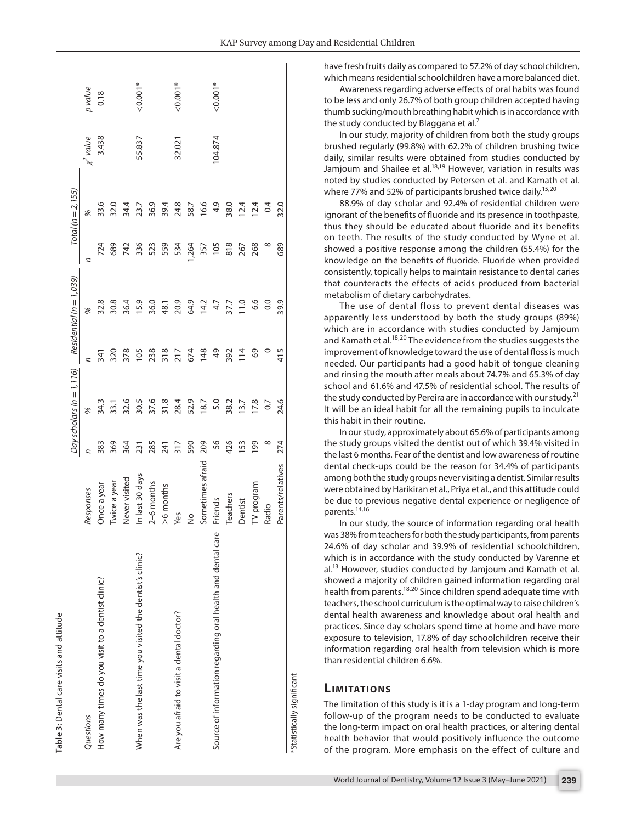| Table 3: Dental care visits and attitude                    |                   |          |                               |               |                             |      |                      |             |            |
|-------------------------------------------------------------|-------------------|----------|-------------------------------|---------------|-----------------------------|------|----------------------|-------------|------------|
|                                                             |                   |          | Day scholars ( $n = 1, 116$ ) |               | Residential ( $n = 1,039$ ) |      | $Total (n = 2, 155)$ |             |            |
| Questions                                                   | Responses         | ς        | %                             | n             | %                           | Z    | %                    | $x^2$ value | p value    |
| How many times do you visit to a dentist clinic?            | Once a year       | 383      | 34.3                          | 341           | 32.8                        | 724  | 33.6                 | 3.438       | 0.18       |
|                                                             | Twice a year      | 369      | 33.1                          | 320           | 30.8                        | 689  | 32.0                 |             |            |
|                                                             | Never visited     | 364      | 32.6                          | 378           | 36.4                        | 742  | 34.4                 |             |            |
| When was the last time you visited the dentist's clinic?    | In last 30 days   | 231      | 30.5                          | 105           | 15.9                        | 336  | 23.7                 | 55.837      | $< 0.001*$ |
|                                                             | $2-6$ months      | 285      | 37.6<br>31.8                  | 238           | 36.0                        | 523  | 36.9                 |             |            |
|                                                             | $>6$ months       | 241      |                               | 318           | 48.1                        | 559  | 39.4                 |             |            |
| Are you afraid to visit a dental doctor?                    | Yes               | 317      | 28.4                          | 217           | 20.9                        | 534  | 24.8                 | 32.021      | $0.001*$   |
|                                                             | $\frac{1}{2}$     | 590      | 52.9                          | 674           | 64.9                        | ,264 | 58.7                 |             |            |
|                                                             | Sometimes afraid  | 209      | 18.7                          | 148           | 14.2                        | 357  | 16.6                 |             |            |
| Source of information regarding oral health and dental care | Friends           | 56       | 5.0                           | $\frac{6}{7}$ | 4.7                         | 105  | $\frac{6}{7}$        | 104.874     | $0.001*$   |
|                                                             | Teachers          | 426      | 38.2                          | 392           | 37.7                        | 818  | 38.0                 |             |            |
|                                                             | Dentist           | 153      | 13.7                          | 114           | 11.0                        | 267  | 12.4                 |             |            |
|                                                             | TV program        | 199      | 17.8                          | 69            | 6.6                         | 268  | 12.4                 |             |            |
|                                                             | Radio             | $\infty$ | 0.7                           | $\circ$       | 0.0                         | ∞    | 0.4                  |             |            |
|                                                             | Parents/relatives | 274      | 24.6                          | 415           | 39.9                        | 689  | 32.0                 |             |            |
| *Statistically significant                                  |                   |          |                               |               |                             |      |                      |             |            |

Awareness regarding adverse effects of oral habits was found to be less and only 26.7% of both group children accepted having thumb sucking/mouth breathing habit which is in accordance with the study conducted by Blaggana et al.<sup>7</sup>

In our study, majority of children from both the study groups brushed regularly (99.8%) with 62.2% of children brushing twice daily, similar results were obtained from studies conducted by Jamjoum and Shailee et al.<sup>18,19</sup> However, variation in results was noted by studies conducted by Petersen et al. and Kamath et al. where 77% and 52% of participants brushed twice daily.<sup>15,20</sup>

88.9% of day scholar and 92.4% of residential children were ignorant of the benefits of fluoride and its presence in toothpaste, thus they should be educated about fluoride and its benefits on teeth. The results of the study conducted by Wyne et al. showed a positive response among the children (55.4%) for the knowledge on the benefits of fluoride. Fluoride when provided consistently, topically helps to maintain resistance to dental caries that counteracts the effects of acids produced from bacterial metabolism of dietary carbohydrates.

The use of dental floss to prevent dental diseases was apparently less understood by both the study groups (89%) which are in accordance with studies conducted by Jamjoum and Kamath et al.<sup>18,20</sup> The evidence from the studies suggests the improvement of knowledge toward the use of dental floss is much needed. Our participants had a good habit of tongue cleaning and rinsing the mouth after meals about 74.7% and 65.3% of day school and 61.6% and 47.5% of residential school. The results of the study conducted by Pereira are in accordance with our study.<sup>21</sup> It will be an ideal habit for all the remaining pupils to inculcate this habit in their routine.

In our study, approximately about 65.6% of participants among the study groups visited the dentist out of which 39.4% visited in the last 6 months. Fear of the dentist and low awareness of routine dental check-ups could be the reason for 34.4% of participants among both the study groups never visiting a dentist. Similar results were obtained by Harikiran et al., Priya et al., and this attitude could be due to previous negative dental experience or negligence of parents.14,16

In our study, the source of information regarding oral health was 38% from teachers for both the study participants, from parents 24.6% of day scholar and 39.9% of residential schoolchildren, which is in accordance with the study conducted by Varenne et al.<sup>13</sup> However, studies conducted by Jamjoum and Kamath et al. showed a majority of children gained information regarding oral health from parents.18,20 Since children spend adequate time with teachers, the school curriculum is the optimal way to raise children's dental health awareness and knowledge about oral health and practices. Since day scholars spend time at home and have more exposure to television, 17.8% of day schoolchildren receive their information regarding oral health from television which is more than residential children 6.6%.

## **LIMITATIONS**

The limitation of this study is it is a 1-day program and long-term follow-up of the program needs to be conducted to evaluate the long-term impact on oral health practices, or altering dental health behavior that would positively influence the outcome of the program. More emphasis on the effect of culture and